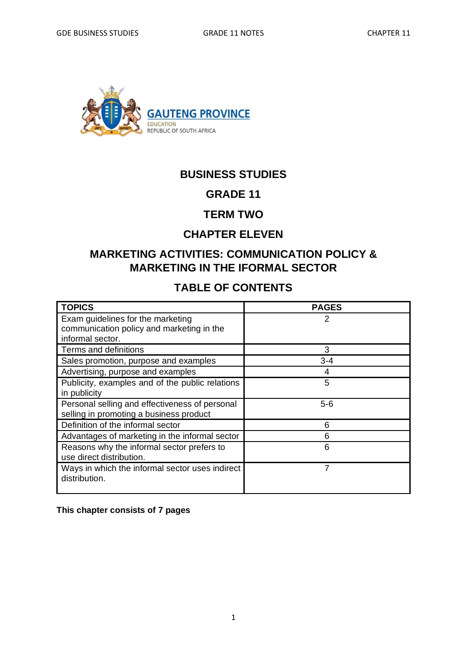

# **BUSINESS STUDIES**

## **GRADE 11**

## **TERM TWO**

## **CHAPTER ELEVEN**

# **MARKETING ACTIVITIES: COMMUNICATION POLICY & MARKETING IN THE IFORMAL SECTOR**

# **TABLE OF CONTENTS**

| <b>TOPICS</b>                                   | <b>PAGES</b> |
|-------------------------------------------------|--------------|
| Exam guidelines for the marketing               | 2            |
| communication policy and marketing in the       |              |
| informal sector.                                |              |
| Terms and definitions                           | 3            |
| Sales promotion, purpose and examples           | $3 - 4$      |
| Advertising, purpose and examples               |              |
| Publicity, examples and of the public relations | 5            |
| in publicity                                    |              |
| Personal selling and effectiveness of personal  | $5 - 6$      |
| selling in promoting a business product         |              |
| Definition of the informal sector               | 6            |
| Advantages of marketing in the informal sector  | 6            |
| Reasons why the informal sector prefers to      | 6            |
| use direct distribution.                        |              |
| Ways in which the informal sector uses indirect |              |
| distribution.                                   |              |
|                                                 |              |

**This chapter consists of 7 pages**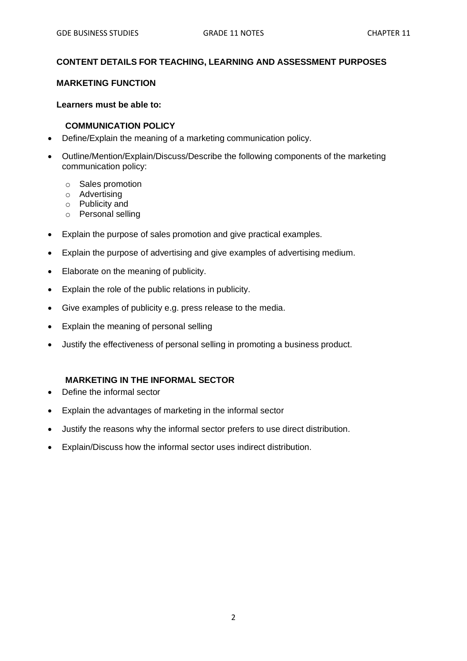#### **CONTENT DETAILS FOR TEACHING, LEARNING AND ASSESSMENT PURPOSES**

#### **MARKETING FUNCTION**

#### **Learners must be able to:**

#### **COMMUNICATION POLICY**

- Define/Explain the meaning of a marketing communication policy.
- Outline/Mention/Explain/Discuss/Describe the following components of the marketing communication policy:
	- o Sales promotion
	- o Advertising
	- o Publicity and
	- o Personal selling
- Explain the purpose of sales promotion and give practical examples.
- Explain the purpose of advertising and give examples of advertising medium.
- Elaborate on the meaning of publicity.
- Explain the role of the public relations in publicity.
- Give examples of publicity e.g. press release to the media.
- Explain the meaning of personal selling
- Justify the effectiveness of personal selling in promoting a business product.

#### **MARKETING IN THE INFORMAL SECTOR**

- Define the informal sector
- Explain the advantages of marketing in the informal sector
- Justify the reasons why the informal sector prefers to use direct distribution.
- Explain/Discuss how the informal sector uses indirect distribution.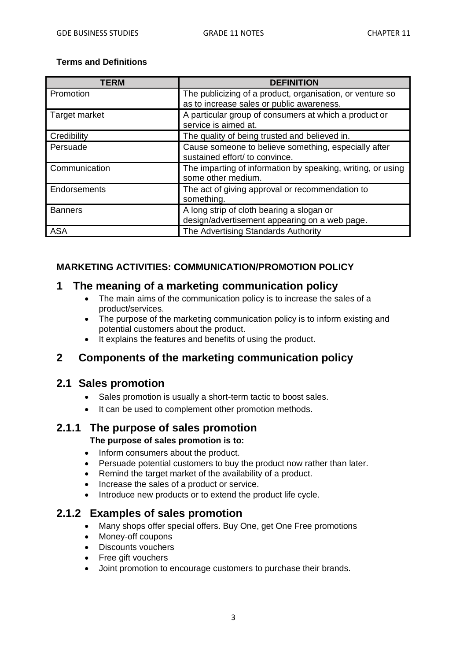#### **Terms and Definitions**

| <b>TERM</b>    | <b>DEFINITION</b>                                                                                      |  |
|----------------|--------------------------------------------------------------------------------------------------------|--|
| Promotion      | The publicizing of a product, organisation, or venture so<br>as to increase sales or public awareness. |  |
| Target market  | A particular group of consumers at which a product or<br>service is aimed at.                          |  |
| Credibility    | The quality of being trusted and believed in.                                                          |  |
| Persuade       | Cause someone to believe something, especially after<br>sustained effort/ to convince.                 |  |
| Communication  | The imparting of information by speaking, writing, or using<br>some other medium.                      |  |
| Endorsements   | The act of giving approval or recommendation to<br>something.                                          |  |
| <b>Banners</b> | A long strip of cloth bearing a slogan or<br>design/advertisement appearing on a web page.             |  |
| <b>ASA</b>     | The Advertising Standards Authority                                                                    |  |

### **MARKETING ACTIVITIES: COMMUNICATION/PROMOTION POLICY**

### **1 The meaning of a marketing communication policy**

- The main aims of the communication policy is to increase the sales of a product/services.
- The purpose of the marketing communication policy is to inform existing and potential customers about the product.
- It explains the features and benefits of using the product.

### **2 Components of the marketing communication policy**

### **2.1 Sales promotion**

- Sales promotion is usually a short-term tactic to boost sales.
- It can be used to complement other promotion methods.

### **2.1.1 The purpose of sales promotion**

#### **The purpose of sales promotion is to:**

- Inform consumers about the product.
- Persuade potential customers to buy the product now rather than later.
- Remind the target market of the availability of a product.
- Increase the sales of a product or service.
- Introduce new products or to extend the product life cycle.

### **2.1.2 Examples of sales promotion**

- Many shops offer special offers. Buy One, get One Free promotions
- Money-off coupons
- Discounts vouchers
- Free gift vouchers
- Joint promotion to encourage customers to purchase their brands.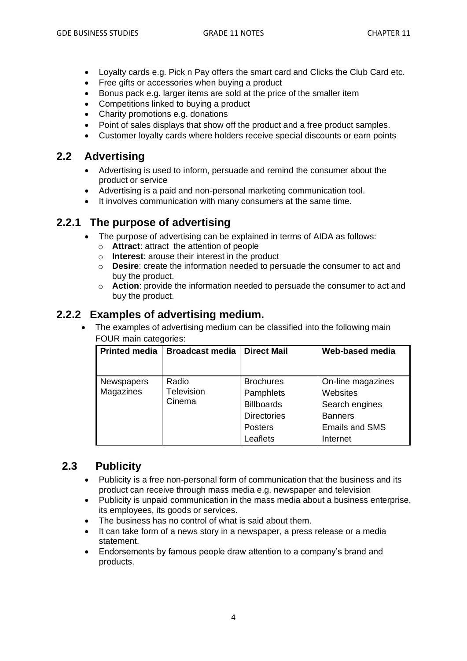- Loyalty cards e.g. Pick n Pay offers the smart card and Clicks the Club Card etc.
- Free gifts or accessories when buying a product
- Bonus pack e.g. larger items are sold at the price of the smaller item
- Competitions linked to buying a product
- Charity promotions e.g. donations
- Point of sales displays that show off the product and a free product samples.
- Customer loyalty cards where holders receive special discounts or earn points

### **2.2 Advertising**

- Advertising is used to inform, persuade and remind the consumer about the product or service
- Advertising is a paid and non-personal marketing communication tool.
- It involves communication with many consumers at the same time.

## **2.2.1 The purpose of advertising**

- The purpose of advertising can be explained in terms of AIDA as follows:
	- o **Attract**: attract the attention of people
	- o **Interest**: arouse their interest in the product
	- o **Desire**: create the information needed to persuade the consumer to act and buy the product.
	- o **Action**: provide the information needed to persuade the consumer to act and buy the product.

## **2.2.2 Examples of advertising medium.**

• The examples of advertising medium can be classified into the following main FOUR main categories:

| <b>Printed media</b>           | <b>Broadcast media</b>        | <b>Direct Mail</b>                                                                                     | Web-based media                                                                                        |
|--------------------------------|-------------------------------|--------------------------------------------------------------------------------------------------------|--------------------------------------------------------------------------------------------------------|
| <b>Newspapers</b><br>Magazines | Radio<br>Television<br>Cinema | <b>Brochures</b><br>Pamphlets<br><b>Billboards</b><br><b>Directories</b><br><b>Posters</b><br>Leaflets | On-line magazines<br>Websites<br>Search engines<br><b>Banners</b><br><b>Emails and SMS</b><br>Internet |

# **2.3 Publicity**

- Publicity is a free non-personal form of communication that the business and its product can receive through mass media e.g. newspaper and television
- Publicity is unpaid communication in the mass media about a business enterprise, its employees, its goods or services.
- The business has no control of what is said about them.
- It can take form of a news story in a newspaper, a press release or a media statement.
- Endorsements by famous people draw attention to a company's brand and products.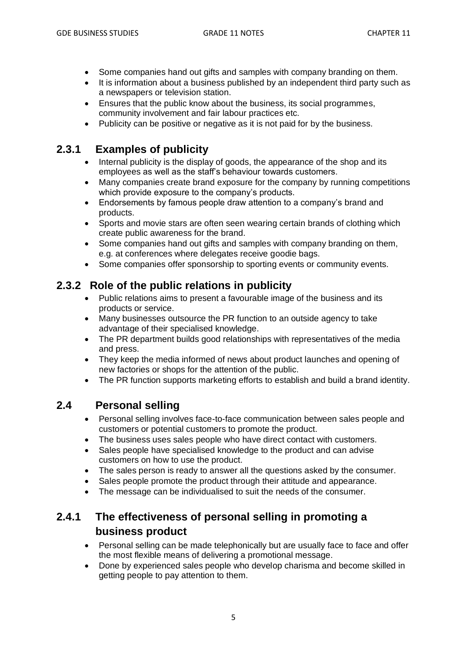- Some companies hand out gifts and samples with company branding on them.
- It is information about a business published by an independent third party such as a newspapers or television station.
- Ensures that the public know about the business, its social programmes, community involvement and fair labour practices etc.
- Publicity can be positive or negative as it is not paid for by the business.

## **2.3.1 Examples of publicity**

- Internal publicity is the display of goods, the appearance of the shop and its employees as well as the staff's behaviour towards customers.
- Many companies create brand exposure for the company by running competitions which provide exposure to the company's products.
- Endorsements by famous people draw attention to a company's brand and products.
- Sports and movie stars are often seen wearing certain brands of clothing which create public awareness for the brand.
- Some companies hand out gifts and samples with company branding on them, e.g. at conferences where delegates receive goodie bags.
- Some companies offer sponsorship to sporting events or community events.

# **2.3.2 Role of the public relations in publicity**

- Public relations aims to present a favourable image of the business and its products or service.
- Many businesses outsource the PR function to an outside agency to take advantage of their specialised knowledge.
- The PR department builds good relationships with representatives of the media and press.
- They keep the media informed of news about product launches and opening of new factories or shops for the attention of the public.
- The PR function supports marketing efforts to establish and build a brand identity.

## **2.4 Personal selling**

- Personal selling involves face-to-face communication between sales people and customers or potential customers to promote the product.
- The business uses sales people who have direct contact with customers.
- Sales people have specialised knowledge to the product and can advise customers on how to use the product.
- The sales person is ready to answer all the questions asked by the consumer.
- Sales people promote the product through their attitude and appearance.
- The message can be individualised to suit the needs of the consumer.

# **2.4.1 The effectiveness of personal selling in promoting a business product**

- Personal selling can be made telephonically but are usually face to face and offer the most flexible means of delivering a promotional message.
- Done by experienced sales people who develop charisma and become skilled in getting people to pay attention to them.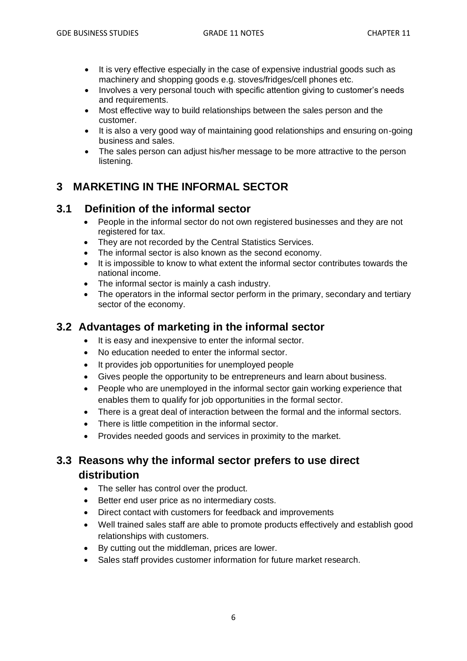- It is very effective especially in the case of expensive industrial goods such as machinery and shopping goods e.g. stoves/fridges/cell phones etc.
- Involves a very personal touch with specific attention giving to customer's needs and requirements.
- Most effective way to build relationships between the sales person and the customer.
- It is also a very good way of maintaining good relationships and ensuring on-going business and sales.
- The sales person can adjust his/her message to be more attractive to the person listening.

# **3 MARKETING IN THE INFORMAL SECTOR**

### **3.1 Definition of the informal sector**

- People in the informal sector do not own registered businesses and they are not registered for tax.
- They are not recorded by the Central Statistics Services.
- The informal sector is also known as the second economy.
- It is impossible to know to what extent the informal sector contributes towards the national income.
- The informal sector is mainly a cash industry.
- The operators in the informal sector perform in the primary, secondary and tertiary sector of the economy.

## **3.2 Advantages of marketing in the informal sector**

- It is easy and inexpensive to enter the informal sector.
- No education needed to enter the informal sector.
- It provides job opportunities for unemployed people
- Gives people the opportunity to be entrepreneurs and learn about business.
- People who are unemployed in the informal sector gain working experience that enables them to qualify for job opportunities in the formal sector.
- There is a great deal of interaction between the formal and the informal sectors.
- There is little competition in the informal sector.
- Provides needed goods and services in proximity to the market.

# **3.3 Reasons why the informal sector prefers to use direct distribution**

- The seller has control over the product.
- Better end user price as no intermediary costs.
- Direct contact with customers for feedback and improvements
- Well trained sales staff are able to promote products effectively and establish good relationships with customers.
- By cutting out the middleman, prices are lower.
- Sales staff provides customer information for future market research.